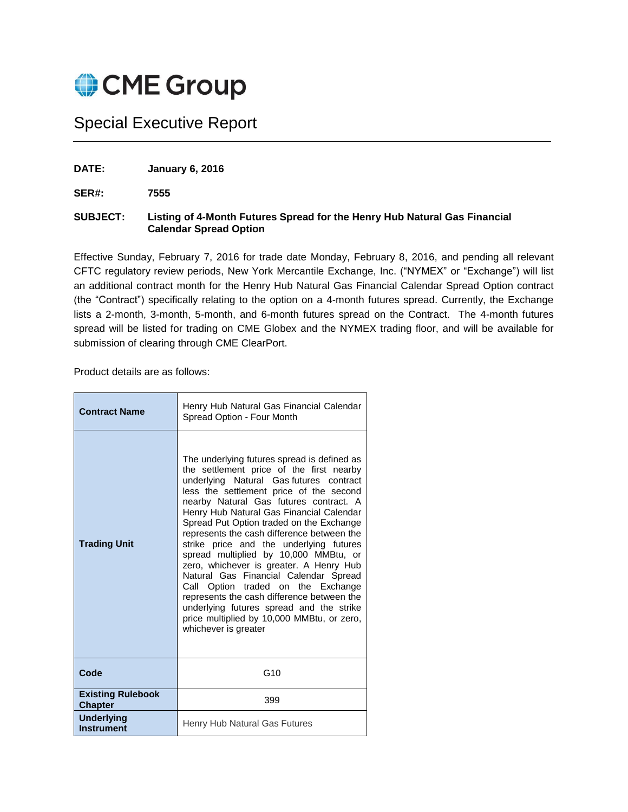

## Special Executive Report

**DATE: January 6, 2016**

**SER#: 7555**

## **SUBJECT: Listing of 4-Month Futures Spread for the Henry Hub Natural Gas Financial Calendar Spread Option**

Effective Sunday, February 7, 2016 for trade date Monday, February 8, 2016, and pending all relevant CFTC regulatory review periods, New York Mercantile Exchange, Inc. ("NYMEX" or "Exchange") will list an additional contract month for the Henry Hub Natural Gas Financial Calendar Spread Option contract (the "Contract") specifically relating to the option on a 4-month futures spread. Currently, the Exchange lists a 2-month, 3-month, 5-month, and 6-month futures spread on the Contract. The 4-month futures spread will be listed for trading on CME Globex and the NYMEX trading floor, and will be available for submission of clearing through CME ClearPort.

Product details are as follows:

| <b>Contract Name</b>                       | Henry Hub Natural Gas Financial Calendar<br>Spread Option - Four Month                                                                                                                                                                                                                                                                                                                                                                                                                                                                                                                                                                                                                                                                      |  |
|--------------------------------------------|---------------------------------------------------------------------------------------------------------------------------------------------------------------------------------------------------------------------------------------------------------------------------------------------------------------------------------------------------------------------------------------------------------------------------------------------------------------------------------------------------------------------------------------------------------------------------------------------------------------------------------------------------------------------------------------------------------------------------------------------|--|
| <b>Trading Unit</b>                        | The underlying futures spread is defined as<br>the settlement price of the first nearby<br>underlying Natural Gas futures contract<br>less the settlement price of the second<br>nearby Natural Gas futures contract. A<br>Henry Hub Natural Gas Financial Calendar<br>Spread Put Option traded on the Exchange<br>represents the cash difference between the<br>strike price and the underlying futures<br>spread multiplied by 10,000 MMBtu, or<br>zero, whichever is greater. A Henry Hub<br>Natural Gas Financial Calendar Spread<br>Call Option traded on the Exchange<br>represents the cash difference between the<br>underlying futures spread and the strike<br>price multiplied by 10,000 MMBtu, or zero,<br>whichever is greater |  |
| Code                                       | G <sub>10</sub>                                                                                                                                                                                                                                                                                                                                                                                                                                                                                                                                                                                                                                                                                                                             |  |
| <b>Existing Rulebook</b><br><b>Chapter</b> | 399                                                                                                                                                                                                                                                                                                                                                                                                                                                                                                                                                                                                                                                                                                                                         |  |
| <b>Underlying</b><br><b>Instrument</b>     | Henry Hub Natural Gas Futures                                                                                                                                                                                                                                                                                                                                                                                                                                                                                                                                                                                                                                                                                                               |  |